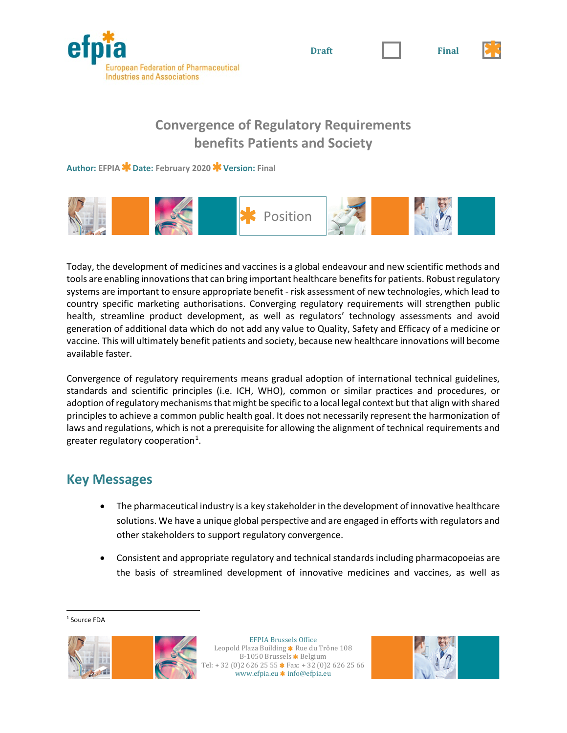

**Convergence of Regulatory Requirements benefits Patients and Society**

**Author: EFPIA Date: February 2020 Version: Final**



Today, the development of medicines and vaccines is a global endeavour and new scientific methods and tools are enabling innovations that can bring important healthcare benefits for patients. Robust regulatory systems are important to ensure appropriate benefit - risk assessment of new technologies, which lead to country specific marketing authorisations. Converging regulatory requirements will strengthen public health, streamline product development, as well as regulators' technology assessments and avoid generation of additional data which do not add any value to Quality, Safety and Efficacy of a medicine or vaccine. This will ultimately benefit patients and society, because new healthcare innovations will become available faster.

Convergence of regulatory requirements means gradual adoption of international technical guidelines, standards and scientific principles (i.e. ICH, WHO), common or similar practices and procedures, or adoption of regulatory mechanisms that might be specific to a local legal context but that align with shared principles to achieve a common public health goal. It does not necessarily represent the harmonization of laws and regulations, which is not a prerequisite for allowing the alignment of technical requirements and greater regulatory cooperation<sup>[1](#page-0-0)</sup>.

## **Key Messages**

- The pharmaceutical industry is a key stakeholder in the development of innovative healthcare solutions. We have a unique global perspective and are engaged in efforts with regulators and other stakeholders to support regulatory convergence.
- Consistent and appropriate regulatory and technical standards including pharmacopoeias are the basis of streamlined development of innovative medicines and vaccines, as well as

<span id="page-0-0"></span><sup>&</sup>lt;sup>1</sup> Source FDA



EFPIA Brussels Office Leopold Plaza Building \* Rue du Trône 108 B-1050 Brussels  $\bigstar$  Belgium + 32 (0)2 626 25 55  $\star$  Fax: + 32 (0)2 626 25 66 www.efpia.eu \* info@efpia.eu





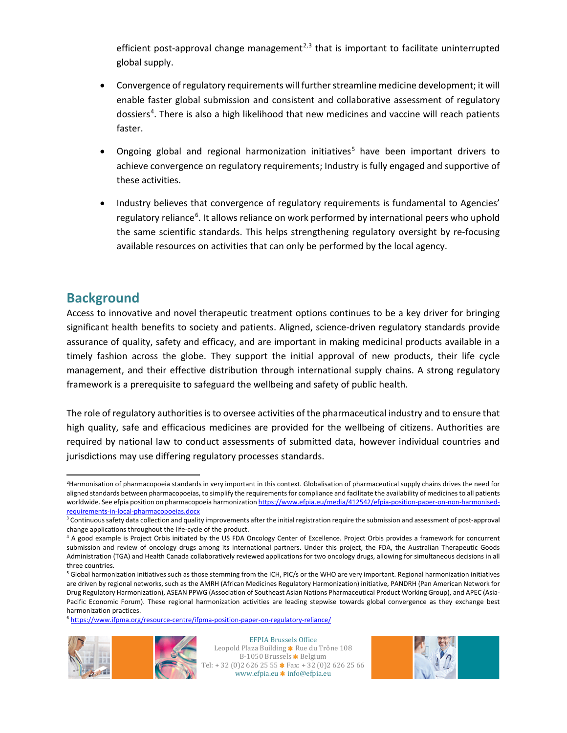efficient post-approval change management<sup>[2](#page-1-0),[3](#page-1-1)</sup> that is important to facilitate uninterrupted global supply.

- Convergence of regulatory requirements will further streamline medicine development; it will enable faster global submission and consistent and collaborative assessment of regulatory dossiers<sup>[4](#page-1-2)</sup>. There is also a high likelihood that new medicines and vaccine will reach patients faster.
- Ongoing global and regional harmonization initiatives<sup>[5](#page-1-3)</sup> have been important drivers to achieve convergence on regulatory requirements; Industry is fully engaged and supportive of these activities.
- Industry believes that convergence of regulatory requirements is fundamental to Agencies' regulatory reliance<sup>[6](#page-1-4)</sup>. It allows reliance on work performed by international peers who uphold the same scientific standards. This helps strengthening regulatory oversight by re-focusing available resources on activities that can only be performed by the local agency.

## **Background**

Access to innovative and novel therapeutic treatment options continues to be a key driver for bringing significant health benefits to society and patients. Aligned, science-driven regulatory standards provide assurance of quality, safety and efficacy, and are important in making medicinal products available in a timely fashion across the globe. They support the initial approval of new products, their life cycle management, and their effective distribution through international supply chains. A strong regulatory framework is a prerequisite to safeguard the wellbeing and safety of public health.

The role of regulatory authorities is to oversee activities of the pharmaceutical industry and to ensure that high quality, safe and efficacious medicines are provided for the wellbeing of citizens. Authorities are required by national law to conduct assessments of submitted data, however individual countries and jurisdictions may use differing regulatory processes standards.

<span id="page-1-4"></span><sup>6</sup> <https://www.ifpma.org/resource-centre/ifpma-position-paper-on-regulatory-reliance/>



EFPIA Brussels Office Leopold Plaza Building \* Rue du Trône 108 B-1050 Brussels \* Belgium Tel: + 32 (0)2 626 25 55 \* Fax: + 32 (0)2 626 25 66 www.efpia.eu **\*** info@efpia.eu



<span id="page-1-0"></span> $\frac{1}{2}$ <sup>2</sup>Harmonisation of pharmacopoeia standards in very important in this context. Globalisation of pharmaceutical supply chains drives the need for aligned standards between pharmacopoeias, to simplify the requirements for compliance and facilitate the availability of medicines to all patients worldwide. See efpia position on pharmacopoeia harmonizatio[n https://www.efpia.eu/media/412542/efpia-position-paper-on-non-harmonised](https://www.efpia.eu/media/412542/efpia-position-paper-on-non-harmonised-requirements-in-local-pharmacopoeias.docx)[requirements-in-local-pharmacopoeias.docx](https://www.efpia.eu/media/412542/efpia-position-paper-on-non-harmonised-requirements-in-local-pharmacopoeias.docx)

<span id="page-1-1"></span><sup>&</sup>lt;sup>3</sup> Continuous safety data collection and quality improvements after the initial registration require the submission and assessment of post-approval change applications throughout the life-cycle of the product.

<span id="page-1-2"></span><sup>4</sup> A good example is Project Orbis initiated by the US FDA Oncology Center of Excellence. Project Orbis provides a framework for concurrent submission and review of oncology drugs among its international partners. Under this project, the FDA, the Australian Therapeutic Goods Administration (TGA) and Health Canada collaboratively reviewed applications for two oncology drugs, allowing for simultaneous decisions in all three countries.

<span id="page-1-3"></span><sup>&</sup>lt;sup>5</sup> Global harmonization initiatives such as those stemming from the ICH, PIC/s or the WHO are very important. Regional harmonization initiatives are driven by regional networks, such as the AMRH (African Medicines Regulatory Harmonization) initiative, PANDRH (Pan American Network for Drug Regulatory Harmonization), ASEAN PPWG (Association of Southeast Asian Nations Pharmaceutical Product Working Group), and APEC (Asia-Pacific Economic Forum). These regional harmonization activities are leading stepwise towards global convergence as they exchange best harmonization practices.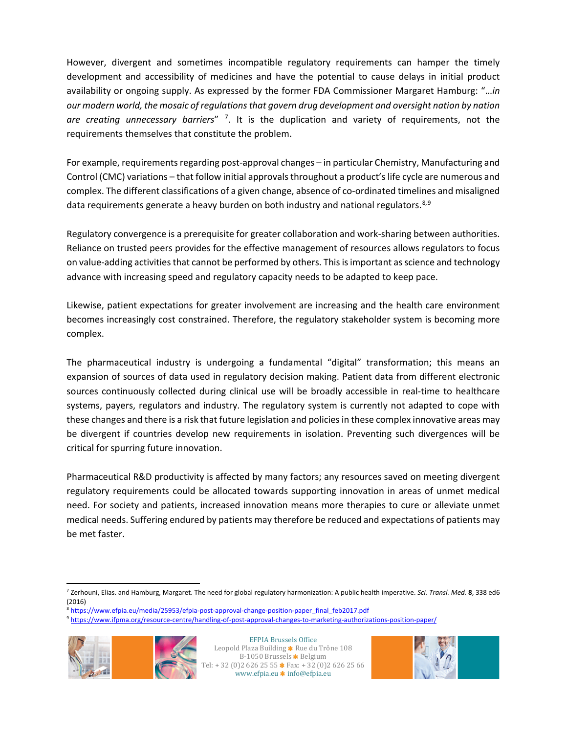However, divergent and sometimes incompatible regulatory requirements can hamper the timely development and accessibility of medicines and have the potential to cause delays in initial product availability or ongoing supply. As expressed by the former FDA Commissioner Margaret Hamburg: "…*in our modern world, the mosaic of regulations that govern drug development and oversight nation by nation*  are creating unnecessary barriers"<sup>[7](#page-2-0)</sup>. It is the duplication and variety of requirements, not the requirements themselves that constitute the problem.

For example, requirements regarding post-approval changes – in particular Chemistry, Manufacturing and Control (CMC) variations – that follow initial approvals throughout a product's life cycle are numerous and complex. The different classifications of a given change, absence of co-ordinated timelines and misaligned data requirements generate a heavy burden on both industry and national regulators.<sup>[8,](#page-2-1)[9](#page-2-2)</sup>

Regulatory convergence is a prerequisite for greater collaboration and work-sharing between authorities. Reliance on trusted peers provides for the effective management of resources allows regulators to focus on value-adding activities that cannot be performed by others. This is important as science and technology advance with increasing speed and regulatory capacity needs to be adapted to keep pace.

Likewise, patient expectations for greater involvement are increasing and the health care environment becomes increasingly cost constrained. Therefore, the regulatory stakeholder system is becoming more complex.

The pharmaceutical industry is undergoing a fundamental "digital" transformation; this means an expansion of sources of data used in regulatory decision making. Patient data from different electronic sources continuously collected during clinical use will be broadly accessible in real-time to healthcare systems, payers, regulators and industry. The regulatory system is currently not adapted to cope with these changes and there is a risk that future legislation and policies in these complex innovative areas may be divergent if countries develop new requirements in isolation. Preventing such divergences will be critical for spurring future innovation.

Pharmaceutical R&D productivity is affected by many factors; any resources saved on meeting divergent regulatory requirements could be allocated towards supporting innovation in areas of unmet medical need. For society and patients, increased innovation means more therapies to cure or alleviate unmet medical needs. Suffering endured by patients may therefore be reduced and expectations of patients may be met faster.

<span id="page-2-2"></span><span id="page-2-1"></span><span id="page-2-0"></span><sup>9</sup> <https://www.ifpma.org/resource-centre/handling-of-post-approval-changes-to-marketing-authorizations-position-paper/>



EFPIA Brussels Office Leopold Plaza Building  $\bigstar$  Rue du Trône 108 B-1050 Brussels \* Belgium Tel: + 32 (0)2 626 25 55 \* Fax: + 32 (0)2 626 25 66 www.efpia.eu **\*** info@efpia.eu



 <sup>7</sup> Zerhouni, Elias. and Hamburg, Margaret. The need for global regulatory harmonization: A public health imperative. *Sci. Transl. Med.* **<sup>8</sup>**, 338 ed6 (2016)

<sup>&</sup>lt;sup>8</sup> [https://www.efpia.eu/media/25953/efpia-post-approval-change-position-paper\\_final\\_feb2017.pdf](https://www.efpia.eu/media/25953/efpia-post-approval-change-position-paper_final_feb2017.pdf)